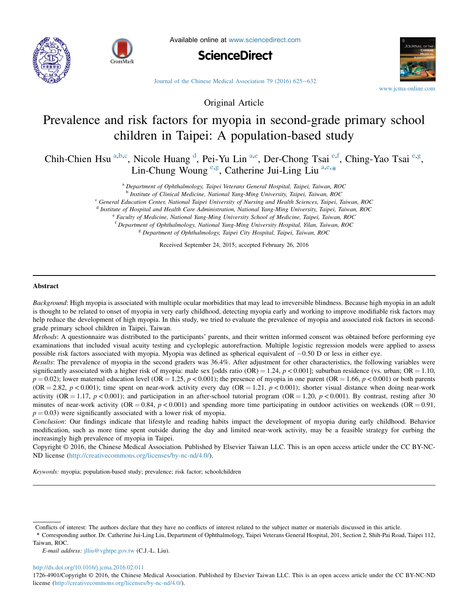



Available online at [www.sciencedirect.com](www.sciencedirect.com/science/journal/17264901)





[Journal of the Chinese Medical Association 79 \(2016\) 625](http://dx.doi.org/10.1016/j.jcma.2016.02.011)-[632](http://dx.doi.org/10.1016/j.jcma.2016.02.011)

Original Article

# Prevalence and risk factors for myopia in second-grade primary school children in Taipei: A population-based study

Chih-Chien Hsu<sup>a,b,c</sup>, Nicole Huang <sup>d</sup>, Pei-Yu Lin<sup>a,e</sup>, Der-Chong Tsai<sup>e,f</sup>, Ching-Yao Tsai<sup>e,g</sup>, Lin-Chung Woung<sup>e,g</sup>, Catherine Jui-Ling Liu<sup>a,e,\*</sup>

<sup>a</sup> Department of Ophthalmology, Taipei Veterans General Hospital, Taipei, Taiwan, ROC

<sup>b</sup> Institute of Clinical Medicine, National Yang-Ming University, Taipei, Taiwan, ROC

 $c$  General Education Center, National Taipei University of Nursing and Health Sciences, Taipei, Taiwan, ROC

<sup>d</sup> Institute of Hospital and Health Care Administration, National Yang-Ming University, Taipei, Taiwan, ROC

<sup>e</sup> Faculty of Medicine, National Yang-Ming University School of Medicine, Taipei, Taiwan, ROC

<sup>f</sup> Department of Ophthalmology, National Yang-Ming University Hospital, Yilan, Taiwan, ROC

<sup>g</sup> Department of Ophthalmology, Taipei City Hospital, Taipei, Taiwan, ROC

Received September 24, 2015; accepted February 26, 2016

#### Abstract

Background: High myopia is associated with multiple ocular morbidities that may lead to irreversible blindness. Because high myopia in an adult is thought to be related to onset of myopia in very early childhood, detecting myopia early and working to improve modifiable risk factors may help reduce the development of high myopia. In this study, we tried to evaluate the prevalence of myopia and associated risk factors in secondgrade primary school children in Taipei, Taiwan.

Methods: A questionnaire was distributed to the participants' parents, and their written informed consent was obtained before performing eye examinations that included visual acuity testing and cycloplegic autorefraction. Multiple logistic regression models were applied to assess possible risk factors associated with myopia. Myopia was defined as spherical equivalent of  $-0.50$  D or less in either eye.

Results: The prevalence of myopia in the second graders was 36.4%. After adjustment for other characteristics, the following variables were significantly associated with a higher risk of myopia: male sex [odds ratio (OR) = 1.24,  $p < 0.001$ ]; suburban residence (vs. urban; OR = 1.10,  $p = 0.02$ ; lower maternal education level (OR = 1.25,  $p < 0.001$ ); the presence of myopia in one parent (OR = 1.66,  $p < 0.001$ ) or both parents (OR = 2.82,  $p < 0.001$ ); time spent on near-work activity every day (OR = 1.21,  $p < 0.001$ ); shorter visual distance when doing near-work activity (OR = 1.17,  $p < 0.001$ ); and participation in an after-school tutorial program (OR = 1.20,  $p < 0.001$ ). By contrast, resting after 30 minutes of near-work activity (OR = 0.84,  $p < 0.001$ ) and spending more time participating in outdoor activities on weekends (OR = 0.91,  $p = 0.03$ ) were significantly associated with a lower risk of myopia.

Conclusion: Our findings indicate that lifestyle and reading habits impact the development of myopia during early childhood. Behavior modification, such as more time spent outside during the day and limited near-work activity, may be a feasible strategy for curbing the increasingly high prevalence of myopia in Taipei.

Copyright © 2016, the Chinese Medical Association. Published by Elsevier Taiwan LLC. This is an open access article under the CC BY-NC-ND license [\(http://creativecommons.org/licenses/by-nc-nd/4.0/](http://creativecommons.org/licenses/by-nc-nd/4.0/)).

Keywords: myopia; population-based study; prevalence; risk factor; schoolchildren

\* Corresponding author. Dr. Catherine Jui-Ling Liu, Department of Ophthalmology, Taipei Veterans General Hospital, 201, Section 2, Shih-Pai Road, Taipei 112, Taiwan, ROC.

E-mail address: [jlliu@vghtpe.gov.tw](mailto:jlliu@vghtpe.gov.tw) (C.J.-L. Liu).

<http://dx.doi.org/10.1016/j.jcma.2016.02.011>

Conflicts of interest: The authors declare that they have no conflicts of interest related to the subject matter or materials discussed in this article.

<sup>1726-4901/</sup>Copyright © 2016, the Chinese Medical Association. Published by Elsevier Taiwan LLC. This is an open access article under the CC BY-NC-ND license (<http://creativecommons.org/licenses/by-nc-nd/4.0/>).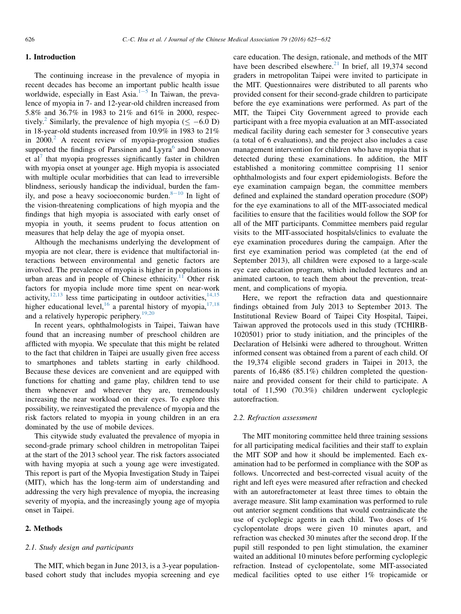# 1. Introduction

The continuing increase in the prevalence of myopia in recent decades has become an important public health issue worldwide, especially in East Asia. $1-5$  $1-5$  $1-5$  In Taiwan, the prevalence of myopia in 7- and 12-year-old children increased from 5.8% and 36.7% in 1983 to 21% and 61% in 2000, respec-tively.<sup>[2](#page-6-0)</sup> Similarly, the prevalence of high myopia ( $\leq -6.0$  D) in 18-year-old students increased from 10.9% in 1983 to 21% in  $2000$  $2000$ .<sup>2</sup> A recent review of myopia-progression studies supported the findings of Parssinen and Lyyra<sup>[6](#page-6-0)</sup> and Donovan et al<sup>[7](#page-6-0)</sup> that myopia progresses significantly faster in children with myopia onset at younger age. High myopia is associated with multiple ocular morbidities that can lead to irreversible blindness, seriously handicap the individual, burden the family, and pose a heavy socioeconomic burden. $8-10$  $8-10$  In light of the vision-threatening complications of high myopia and the findings that high myopia is associated with early onset of myopia in youth, it seems prudent to focus attention on measures that help delay the age of myopia onset.

Although the mechanisms underlying the development of myopia are not clear, there is evidence that multifactorial interactions between environmental and genetic factors are involved. The prevalence of myopia is higher in populations in urban areas and in people of Chinese ethnicity. $11$  Other risk factors for myopia include more time spent on near-work activity,<sup>[12,13](#page-6-0)</sup> less time participating in outdoor activities,  $14,15$ higher educational level,<sup>[16](#page-6-0)</sup> a parental history of myopia, $17,18$ and a relatively hyperopic periphery.<sup>[19,20](#page-7-0)</sup>

In recent years, ophthalmologists in Taipei, Taiwan have found that an increasing number of preschool children are afflicted with myopia. We speculate that this might be related to the fact that children in Taipei are usually given free access to smartphones and tablets starting in early childhood. Because these devices are convenient and are equipped with functions for chatting and game play, children tend to use them whenever and wherever they are, tremendously increasing the near workload on their eyes. To explore this possibility, we reinvestigated the prevalence of myopia and the risk factors related to myopia in young children in an era dominated by the use of mobile devices.

This citywide study evaluated the prevalence of myopia in second-grade primary school children in metropolitan Taipei at the start of the 2013 school year. The risk factors associated with having myopia at such a young age were investigated. This report is part of the Myopia Investigation Study in Taipei (MIT), which has the long-term aim of understanding and addressing the very high prevalence of myopia, the increasing severity of myopia, and the increasingly young age of myopia onset in Taipei.

# 2. Methods

## 2.1. Study design and participants

The MIT, which began in June 2013, is a 3-year populationbased cohort study that includes myopia screening and eye care education. The design, rationale, and methods of the MIT have been described elsewhere.<sup>[21](#page-7-0)</sup> In brief, all 19,374 second graders in metropolitan Taipei were invited to participate in the MIT. Questionnaires were distributed to all parents who provided consent for their second-grade children to participate before the eye examinations were performed. As part of the MIT, the Taipei City Government agreed to provide each participant with a free myopia evaluation at an MIT-associated medical facility during each semester for 3 consecutive years (a total of 6 evaluations), and the project also includes a case management intervention for children who have myopia that is detected during these examinations. In addition, the MIT established a monitoring committee comprising 11 senior ophthalmologists and four expert epidemiologists. Before the eye examination campaign began, the committee members defined and explained the standard operation procedure (SOP) for the eye examinations to all of the MIT-associated medical facilities to ensure that the facilities would follow the SOP for all of the MIT participants. Committee members paid regular visits to the MIT-associated hospitals/clinics to evaluate the eye examination procedures during the campaign. After the first eye examination period was completed (at the end of September 2013), all children were exposed to a large-scale eye care education program, which included lectures and an animated cartoon, to teach them about the prevention, treatment, and complications of myopia.

Here, we report the refraction data and questionnaire findings obtained from July 2013 to September 2013. The Institutional Review Board of Taipei City Hospital, Taipei, Taiwan approved the protocols used in this study (TCHIRB-1020501) prior to study initiation, and the principles of the Declaration of Helsinki were adhered to throughout. Written informed consent was obtained from a parent of each child. Of the 19,374 eligible second graders in Taipei in 2013, the parents of 16,486 (85.1%) children completed the questionnaire and provided consent for their child to participate. A total of 11,590 (70.3%) children underwent cycloplegic autorefraction.

# 2.2. Refraction assessment

The MIT monitoring committee held three training sessions for all participating medical facilities and their staff to explain the MIT SOP and how it should be implemented. Each examination had to be performed in compliance with the SOP as follows. Uncorrected and best-corrected visual acuity of the right and left eyes were measured after refraction and checked with an autorefractometer at least three times to obtain the average measure. Slit lamp examination was performed to rule out anterior segment conditions that would contraindicate the use of cycloplegic agents in each child. Two doses of 1% cyclopentolate drops were given 10 minutes apart, and refraction was checked 30 minutes after the second drop. If the pupil still responded to pen light stimulation, the examiner waited an additional 10 minutes before performing cycloplegic refraction. Instead of cyclopentolate, some MIT-associated medical facilities opted to use either 1% tropicamide or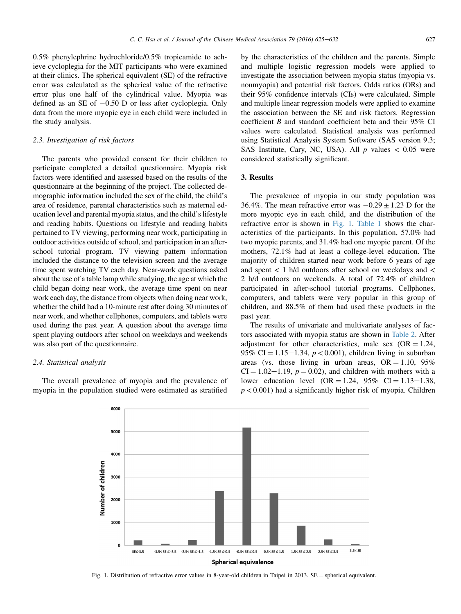0.5% phenylephrine hydrochloride/0.5% tropicamide to achieve cycloplegia for the MIT participants who were examined at their clinics. The spherical equivalent (SE) of the refractive error was calculated as the spherical value of the refractive error plus one half of the cylindrical value. Myopia was defined as an SE of  $-0.50$  D or less after cycloplegia. Only data from the more myopic eye in each child were included in the study analysis.

## 2.3. Investigation of risk factors

The parents who provided consent for their children to participate completed a detailed questionnaire. Myopia risk factors were identified and assessed based on the results of the questionnaire at the beginning of the project. The collected deractors were definitied and assessed based on the results of the<br>questionnaire at the beginning of the project. The collected de-<br>mographic information included the sex of the child, the child's area of residence, parental characteristics such as maternal edmograpme information included the sex of the child, the child s<br>area of residence, parental characteristics such as maternal ed-<br>ucation level and parental myopia status, and the child's lifestyle and reading habits. Questions on lifestyle and reading habits pertained to TV viewing, performing near work, participating in outdoor activities outside of school, and participation in an afterschool tutorial program. TV viewing pattern information included the distance to the television screen and the average time spent watching TV each day. Near-work questions asked about the use of a table lamp while studying, the age at which the child began doing near work, the average time spent on near work each day, the distance from objects when doing near work, whether the child had a 10-minute rest after doing 30 minutes of near work, and whether cellphones, computers, and tablets were used during the past year. A question about the average time spent playing outdoors after school on weekdays and weekends was also part of the questionnaire.

#### 2.4. Statistical analysis

The overall prevalence of myopia and the prevalence of myopia in the population studied were estimated as stratified

by the characteristics of the children and the parents. Simple and multiple logistic regression models were applied to investigate the association between myopia status (myopia vs. nonmyopia) and potential risk factors. Odds ratios (ORs) and their 95% confidence intervals (CIs) were calculated. Simple and multiple linear regression models were applied to examine the association between the SE and risk factors. Regression coefficient B and standard coefficient beta and their 95% CI values were calculated. Statistical analysis was performed using Statistical Analysis System Software (SAS version 9.3; SAS Institute, Cary, NC, USA). All  $p$  values < 0.05 were considered statistically significant.

## 3. Results

The prevalence of myopia in our study population was 36.4%. The mean refractive error was  $-0.29 \pm 1.23$  D for the more myopic eye in each child, and the distribution of the refractive error is shown in Fig. 1. [Table 1](#page-3-0) shows the characteristics of the participants. In this population, 57.0% had two myopic parents, and 31.4% had one myopic parent. Of the mothers, 72.1% had at least a college-level education. The majority of children started near work before 6 years of age and spent  $\lt$  1 h/d outdoors after school on weekdays and  $\lt$ 2 h/d outdoors on weekends. A total of 72.4% of children participated in after-school tutorial programs. Cellphones, computers, and tablets were very popular in this group of children, and 88.5% of them had used these products in the past year.

The results of univariate and multivariate analyses of factors associated with myopia status are shown in [Table 2](#page-4-0). After adjustment for other characteristics, male sex  $(OR = 1.24, ...)$ 95% CI = 1.15–1.34,  $p < 0.001$ ), children living in suburban areas (vs. those living in urban areas,  $OR = 1.10$ ,  $95\%$  $CI = 1.02-1.19$ ,  $p = 0.02$ ), and children with mothers with a lower education level  $(OR = 1.24, 95\% \text{ CI} = 1.13-1.38,$  $p < 0.001$ ) had a significantly higher risk of myopia. Children



Fig. 1. Distribution of refractive error values in 8-year-old children in Taipei in 2013. SE = spherical equivalent.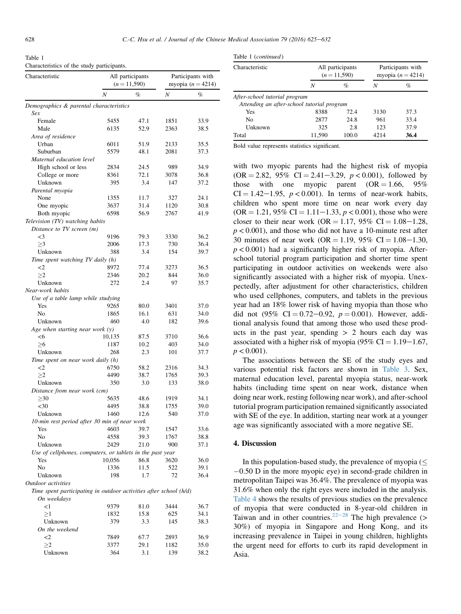<span id="page-3-0"></span>

|--|--|

Characteristics of the study participants.

| Characteristic                                                    |              | All participants<br>$(n = 11,590)$ | Participants with<br>myopia ( $n = 4214$ ) |              |  |
|-------------------------------------------------------------------|--------------|------------------------------------|--------------------------------------------|--------------|--|
|                                                                   | N            | $\%$                               | N                                          | $\%$         |  |
| Demographics & parental characteristics                           |              |                                    |                                            |              |  |
| Sex                                                               |              |                                    |                                            |              |  |
| Female                                                            | 5455         | 47.1                               | 1851                                       | 33.9         |  |
| Male                                                              | 6135         | 52.9                               | 2363                                       | 38.5         |  |
| Area of residence                                                 |              |                                    |                                            |              |  |
| Urban                                                             | 6011         | 51.9                               | 2133                                       | 35.5         |  |
| Suburban                                                          | 5579         | 48.1                               | 2081                                       | 37.3         |  |
| Maternal education level                                          |              |                                    |                                            |              |  |
| High school or less                                               | 2834         | 24.5                               | 989                                        | 34.9         |  |
| College or more                                                   | 8361         | 72.1                               | 3078                                       | 36.8         |  |
| Unknown<br>Parental myopia                                        | 395          | 3.4                                | 147                                        | 37.2         |  |
| None                                                              | 1355         | 11.7                               | 327                                        | 24.1         |  |
| One myopic                                                        | 3637         | 31.4                               | 1120                                       | 30.8         |  |
| Both myopic                                                       | 6598         | 56.9                               | 2767                                       | 41.9         |  |
| Television (TV) watching habits                                   |              |                                    |                                            |              |  |
| Distance to TV screen (m)                                         |              |                                    |                                            |              |  |
| $\leq$ 3                                                          | 9196         | 79.3                               | 3330                                       | 36.2         |  |
| >3                                                                | 2006         | 17.3                               | 730                                        | 36.4         |  |
| Unknown                                                           | 388          | 3.4                                | 154                                        | 39.7         |  |
| Time spent watching TV daily (h)                                  |              |                                    |                                            |              |  |
| $\leq$ 2                                                          | 8972         | 77.4                               | 3273                                       | 36.5         |  |
| >2                                                                | 2346         | 20.2                               | 844                                        | 36.0         |  |
| Unknown                                                           | 272          | 2.4                                | 97                                         | 35.7         |  |
| Near-work habits                                                  |              |                                    |                                            |              |  |
| Use of a table lamp while studying                                |              |                                    |                                            |              |  |
| Yes                                                               | 9265         | 80.0                               | 3401                                       | 37.0         |  |
| N <sub>o</sub><br>Unknown                                         | 1865<br>460  | 16.1<br>4.0                        | 631<br>182                                 | 34.0<br>39.6 |  |
| Age when starting near work (y)                                   |              |                                    |                                            |              |  |
| <6                                                                | 10,135       | 87.5                               | 3710                                       | 36.6         |  |
| >16                                                               | 1187         | 10.2                               | 403                                        | 34.0         |  |
| Unknown                                                           | 268          | 2.3                                | 101                                        | 37.7         |  |
| Time spent on near work daily (h)                                 |              |                                    |                                            |              |  |
| $<$ 2                                                             | 6750         | 58.2                               | 2316                                       | 34.3         |  |
| >2                                                                | 4490         | 38.7                               | 1765                                       | 39.3         |  |
| Unknown                                                           | 350          | 3.0                                | 133                                        | 38.0         |  |
| Distance from near work (cm)                                      |              |                                    |                                            |              |  |
| >30                                                               | 5635         | 48.6                               | 1919                                       | 34.1         |  |
| $30$                                                              | 4495         | 38.8                               | 1755                                       | 39.0         |  |
| Unknown                                                           | 1460         | 12.6                               | 540                                        | 37.0         |  |
| 10-min rest period after 30 min of near work                      |              |                                    |                                            |              |  |
| Yes                                                               | 4603         | 39.7                               | 1547                                       | 33.6         |  |
| N <sub>0</sub><br>Unknown                                         | 4558<br>2429 | 39.3<br>21.0                       | 1767<br>900                                | 38.8<br>37.1 |  |
| Use of cellphones, computers, or tablets in the past year         |              |                                    |                                            |              |  |
| Yes                                                               | 10,056       | 86.8                               | 3620                                       | 36.0         |  |
| No                                                                | 1336         | 11.5                               | 522                                        | 39.1         |  |
| Unknown                                                           | 198          | 1.7                                | 72                                         | 36.4         |  |
| Outdoor activities                                                |              |                                    |                                            |              |  |
| Time spent participating in outdoor activities after school (h/d) |              |                                    |                                            |              |  |
| On weekdays                                                       |              |                                    |                                            |              |  |
| $<$ 1                                                             | 9379         | 81.0                               | 3444                                       | 36.7         |  |
| >1                                                                | 1832         | 15.8                               | 625                                        | 34.1         |  |
| Unknown                                                           | 379          | 3.3                                | 145                                        | 38.3         |  |
| On the weekend<br>$\leq$ 2                                        | 7849         | 67.7                               | 2893                                       | 36.9         |  |
| >2                                                                | 3377         | 29.1                               | 1182                                       | 35.0         |  |
| Unknown                                                           | 364          | 3.1                                | 139                                        | 38.2         |  |
|                                                                   |              |                                    |                                            |              |  |

|  |  | Table 1 (continued) |
|--|--|---------------------|
|--|--|---------------------|

| Characteristic                             |        | All participants<br>$(n=11,590)$ | Participants with<br>myopia $(n = 4214)$ |      |  |
|--------------------------------------------|--------|----------------------------------|------------------------------------------|------|--|
|                                            | N      | $\%$                             | N                                        | $\%$ |  |
| After-school tutorial program              |        |                                  |                                          |      |  |
| Attending an after-school tutorial program |        |                                  |                                          |      |  |
| Yes                                        | 8388   | 72.4                             | 3130                                     | 37.3 |  |
| No                                         | 2877   | 24.8                             | 961                                      | 33.4 |  |
| Unknown                                    | 325    | 2.8                              | 123                                      | 37.9 |  |
| Total                                      | 11,590 | 100.0                            | 4214                                     | 36.4 |  |

Bold value represents statistics significant.

with two myopic parents had the highest risk of myopia  $(OR = 2.82, 95\% \text{ CI} = 2.41-3.29, p < 0.001)$ , followed by those with one myopic parent  $(OR = 1.66, 95\%)$ those with one myopic parent  $(OR = 1.66,$  $CI = 1.42-1.95$ ,  $p < 0.001$ ). In terms of near-work habits, children who spent more time on near work every day  $(OR = 1.21, 95\% \text{ CI} = 1.11-1.33, p < 0.001)$ , those who were closer to their near work (OR = 1.17, 95% CI = 1.08-1.28,  $p < 0.001$ ), and those who did not have a 10-minute rest after 30 minutes of near work (OR = 1.19, 95% CI = 1.08-1.30,  $p < 0.001$ ) had a significantly higher risk of myopia. Afterschool tutorial program participation and shorter time spent participating in outdoor activities on weekends were also significantly associated with a higher risk of myopia. Unexpectedly, after adjustment for other characteristics, children who used cellphones, computers, and tablets in the previous year had an 18% lower risk of having myopia than those who did not (95% CI = 0.72–0.92,  $p = 0.001$ ). However, additional analysis found that among those who used these products in the past year, spending  $> 2$  hours each day was associated with a higher risk of myopia (95% CI =  $1.19-1.67$ ,  $p < 0.001$ ).

The associations between the SE of the study eyes and various potential risk factors are shown in [Table 3](#page-5-0). Sex, maternal education level, parental myopia status, near-work habits (including time spent on near work, distance when doing near work, resting following near work), and after-school tutorial program participation remained significantly associated with SE of the eye. In addition, starting near work at a younger age was significantly associated with a more negative SE.

## 4. Discussion

In this population-based study, the prevalence of myopia  $(\leq)$  $-0.50$  D in the more myopic eye) in second-grade children in metropolitan Taipei was 36.4%. The prevalence of myopia was 31.6% when only the right eyes were included in the analysis. [Table 4](#page-5-0) shows the results of previous studies on the prevalence of myopia that were conducted in 8-year-old children in Taiwan and in other countries.<sup>[22](#page-7-0)–[28](#page-7-0)</sup> The high prevalence (> 30%) of myopia in Singapore and Hong Kong, and its increasing prevalence in Taipei in young children, highlights the urgent need for efforts to curb its rapid development in Asia.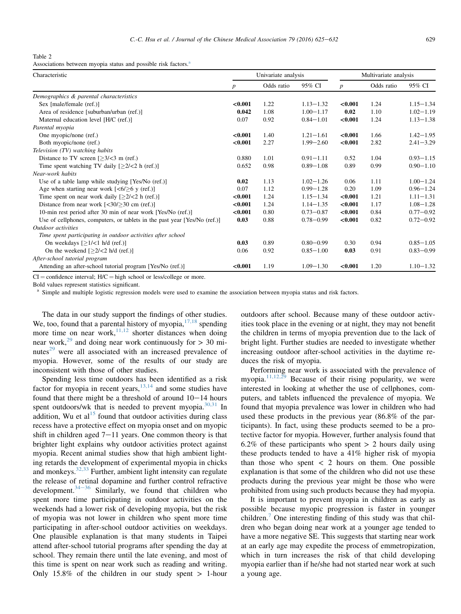<span id="page-4-0"></span>Table 2

Associations between myopia status and possible risk factors.<sup>a</sup>

| Characteristic                                                            |         | Univariate analysis |               | Multivariate analysis |            |               |
|---------------------------------------------------------------------------|---------|---------------------|---------------|-----------------------|------------|---------------|
|                                                                           | p       | Odds ratio          | 95% CI        | $\boldsymbol{p}$      | Odds ratio | 95% CI        |
| Demographics & parental characteristics                                   |         |                     |               |                       |            |               |
| Sex [male/female (ref.)]                                                  | < 0.001 | 1.22                | $1.13 - 1.32$ | < 0.001               | 1.24       | $1.15 - 1.34$ |
| Area of residence [suburban/urban (ref.)]                                 | 0.042   | 1.08                | $1.00 - 1.17$ | 0.02                  | 1.10       | $1.02 - 1.19$ |
| Maternal education level [H/C (ref.)]                                     | 0.07    | 0.92                | $0.84 - 1.01$ | < 0.001               | 1.24       | $1.13 - 1.38$ |
| Parental myopia                                                           |         |                     |               |                       |            |               |
| One myopic/none (ref.)                                                    | < 0.001 | 1.40                | $1.21 - 1.61$ | < 0.001               | 1.66       | $1.42 - 1.95$ |
| Both myopic/none (ref.)                                                   | < 0.001 | 2.27                | $1.99 - 2.60$ | < 0.001               | 2.82       | $2.41 - 3.29$ |
| Television (TV) watching habits                                           |         |                     |               |                       |            |               |
| Distance to TV screen $\left[\frac{3}{3}\right]$ m (ref.)                 | 0.880   | 1.01                | $0.91 - 1.11$ | 0.52                  | 1.04       | $0.93 - 1.15$ |
| Time spent watching TV daily $[>2/<2$ h (ref.)]                           | 0.652   | 0.98                | $0.89 - 1.08$ | 0.89                  | 0.99       | $0.90 - 1.10$ |
| Near-work habits                                                          |         |                     |               |                       |            |               |
| Use of a table lamp while studying [Yes/No (ref.)]                        | 0.02    | 1.13                | $1.02 - 1.26$ | 0.06                  | 1.11       | $1.00 - 1.24$ |
| Age when starting near work $\lceil \langle 6/ \rangle 6$ y (ref.)        | 0.07    | 1.12                | $0.99 - 1.28$ | 0.20                  | 1.09       | $0.96 - 1.24$ |
| Time spent on near work daily $[>2/<2$ h (ref.)]                          | < 0.001 | 1.24                | $1.15 - 1.34$ | < 0.001               | 1.21       | $1.11 - 1.31$ |
| Distance from near work $\left[ \langle 30/ \rangle 30 \rangle$ cm (ref.) | < 0.001 | 1.24                | $1.14 - 1.35$ | < 0.001               | 1.17       | $1.08 - 1.28$ |
| 10-min rest period after 30 min of near work [Yes/No (ref.)]              | < 0.001 | 0.80                | $0.73 - 0.87$ | < 0.001               | 0.84       | $0.77 - 0.92$ |
| Use of cellphones, computers, or tablets in the past year [Yes/No (ref.)] | 0.03    | 0.88                | $0.78 - 0.99$ | < 0.001               | 0.82       | $0.72 - 0.92$ |
| Outdoor activities                                                        |         |                     |               |                       |            |               |
| Time spent participating in outdoor activities after school               |         |                     |               |                       |            |               |
| On weekdays $[>1/\lt1$ h/d (ref.)]                                        | 0.03    | 0.89                | $0.80 - 0.99$ | 0.30                  | 0.94       | $0.85 - 1.05$ |
| On the weekend $[>2/<2$ h/d (ref.)]                                       | 0.06    | 0.92                | $0.85 - 1.00$ | 0.03                  | 0.91       | $0.83 - 0.99$ |
| After-school tutorial program                                             |         |                     |               |                       |            |               |
| Attending an after-school tutorial program [Yes/No (ref.)]                | < 0.001 | 1.19                | $1.09 - 1.30$ | < 0.001               | 1.20       | $1.10 - 1.32$ |

 $CI =$  confidence interval;  $H/C =$  high school or less/college or more.

Bold values represent statistics significant.

<sup>a</sup> Simple and multiple logistic regression models were used to examine the association between myopia status and risk factors.

The data in our study support the findings of other studies. We, too, found that a parental history of myopia, $17,18$  spending more time on near work, $11,12$  shorter distances when doing near work,<sup>[29](#page-7-0)</sup> and doing near work continuously for  $> 30$  minutes $^{29}$  $^{29}$  $^{29}$  were all associated with an increased prevalence of myopia. However, some of the results of our study are inconsistent with those of other studies.

Spending less time outdoors has been identified as a risk factor for myopia in recent years,  $13,14$  and some studies have found that there might be a threshold of around  $10-14$  hours spent outdoors/wk that is needed to prevent myopia. $30,31$  In addition, Wu et al<sup>[15](#page-6-0)</sup> found that outdoor activities during class recess have a protective effect on myopia onset and on myopic shift in children aged  $7-11$  years. One common theory is that brighter light explains why outdoor activities protect against myopia. Recent animal studies show that high ambient lighting retards the development of experimental myopia in chicks and monkeys.  $32,33$  Further, ambient light intensity can regulate the release of retinal dopamine and further control refractive development. $34-36$  $34-36$  $34-36$  Similarly, we found that children who spent more time participating in outdoor activities on the weekends had a lower risk of developing myopia, but the risk of myopia was not lower in children who spent more time participating in after-school outdoor activities on weekdays. One plausible explanation is that many students in Taipei attend after-school tutorial programs after spending the day at school. They remain there until the late evening, and most of this time is spent on near work such as reading and writing. Only  $15.8\%$  of the children in our study spent  $> 1$ -hour outdoors after school. Because many of these outdoor activities took place in the evening or at night, they may not benefit the children in terms of myopia prevention due to the lack of bright light. Further studies are needed to investigate whether increasing outdoor after-school activities in the daytime reduces the risk of myopia.

Performing near work is associated with the prevalence of myopia.<sup>[11,12,29](#page-6-0)</sup> Because of their rising popularity, we were interested in looking at whether the use of cellphones, computers, and tablets influenced the prevalence of myopia. We found that myopia prevalence was lower in children who had used these products in the previous year (86.8% of the participants). In fact, using these products seemed to be a protective factor for myopia. However, further analysis found that 6.2% of these participants who spent  $> 2$  hours daily using these products tended to have a 41% higher risk of myopia than those who spent  $\langle 2 \rangle$  hours on them. One possible explanation is that some of the children who did not use these products during the previous year might be those who were prohibited from using such products because they had myopia.

It is important to prevent myopia in children as early as possible because myopic progression is faster in younger children.<sup>[7](#page-6-0)</sup> One interesting finding of this study was that children who began doing near work at a younger age tended to have a more negative SE. This suggests that starting near work at an early age may expedite the process of emmetropization, which in turn increases the risk of that child developing myopia earlier than if he/she had not started near work at such a young age.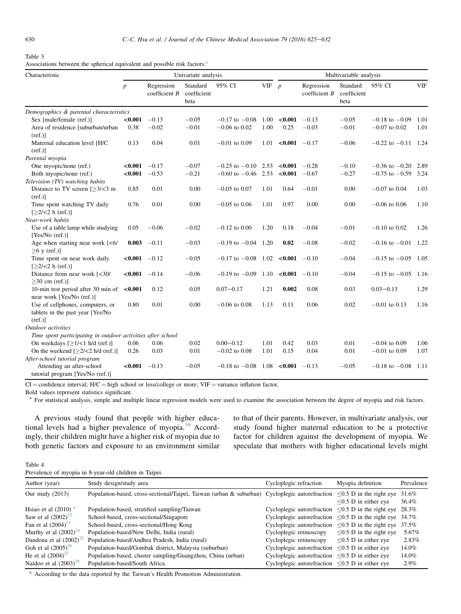# <span id="page-5-0"></span>Table 3 Associations between the spherical equivalent and possible risk factors.<sup>a</sup>

| Characteristic                                                       | Univariate analysis |                               |                                 |                                        |         | Multivariable analysis  |                               |                                 |                         |            |
|----------------------------------------------------------------------|---------------------|-------------------------------|---------------------------------|----------------------------------------|---------|-------------------------|-------------------------------|---------------------------------|-------------------------|------------|
|                                                                      | $\boldsymbol{p}$    | Regression<br>coefficient $B$ | Standard<br>coefficient<br>beta | 95% CI                                 | VIF $p$ |                         | Regression<br>coefficient $B$ | Standard<br>coefficient<br>beta | 95% CI                  | <b>VIF</b> |
| Demographics & parental characteristics                              |                     |                               |                                 |                                        |         |                         |                               |                                 |                         |            |
| Sex [male/female (ref.)]                                             | < 0.001             | $-0.13$                       | $-0.05$                         | $-0.17$ to $-0.08$                     | 1.00    | ${<}0.001$              | $-0.13$                       | $-0.05$                         | $-0.18$ to $-0.09$      | 1.01       |
| Area of residence [suburban/urban<br>(ref.)                          | 0.38                | $-0.02$                       | $-0.01$                         | $-0.06$ to 0.02                        | 1.00    | 0.25                    | $-0.03$                       | $-0.01$                         | $-0.07$ to 0.02         | 1.01       |
| Maternal education level [H/C]<br>$(ref.)$ ]                         | 0.13                | 0.04                          | 0.01                            | $-0.01$ to 0.09                        |         | $1.01 \leq 0.001 -0.17$ |                               | $-0.06$                         | $-0.22$ to $-0.11$ 1.24 |            |
| Parental myopia                                                      |                     |                               |                                 |                                        |         |                         |                               |                                 |                         |            |
| One myopic/none (ref.)                                               | < 0.001             | $-0.17$                       | $-0.07$                         | $-0.25$ to $-0.10$ 2.53 <0.001 $-0.28$ |         |                         |                               | $-0.10$                         | $-0.36$ to $-0.20$      | 2.89       |
| Both myopic/none (ref.)                                              | < 0.001             | $-0.53$                       | $-0.21$                         | $-0.60$ to $-0.46$ 2.53                |         | $<0.001$ $-0.67$        |                               | $-0.27$                         | $-0.75$ to $-0.59$      | 3.24       |
| Television (TV) watching habits                                      |                     |                               |                                 |                                        |         |                         |                               |                                 |                         |            |
| Distance to TV screen $[>3/3]$ m<br>$(ref.)$ ]                       | 0.85                | 0.01                          | 0.00                            | $-0.05$ to 0.07                        | 1.01    | 0.64                    | $-0.01$                       | 0.00                            | $-0.07$ to 0.04         | 1.03       |
| Time spent watching TV daily                                         | 0.76                | 0.01                          | 0.00                            | $-0.05$ to 0.06                        | 1.01    | 0.97                    | 0.00                          | 0.00                            | $-0.06$ to 0.06         | 1.10       |
| $[>2/22$ h (ref.)]                                                   |                     |                               |                                 |                                        |         |                         |                               |                                 |                         |            |
| Near-work habits                                                     |                     |                               |                                 |                                        |         |                         |                               |                                 |                         |            |
| Use of a table lamp while studying                                   | 0.05                | $-0.06$                       | $-0.02$                         | $-0.12$ to 0.00                        | 1.20    | 0.18                    | $-0.04$                       | $-0.01$                         | $-0.10$ to 0.02         | 1.26       |
| $Yes/No$ (ref.)]                                                     |                     |                               |                                 |                                        |         |                         |                               |                                 |                         |            |
| Age when starting near work $\left[ < 6 \right]$                     | 0.003               | $-0.11$                       | $-0.03$                         | $-0.19$ to $-0.04$ 1.20                |         | 0.02                    | $-0.08$                       | $-0.02$                         | $-0.16$ to $-0.01$      | 1.22       |
| $>6$ y (ref.)]                                                       |                     |                               |                                 |                                        |         |                         |                               |                                 |                         |            |
| Time spent on near work daily                                        | $<0.001$ $-0.12$    |                               | $-0.05$                         | $-0.17$ to $-0.08$ 1.02 <0.001 $-0.10$ |         |                         |                               | $-0.04$                         | $-0.15$ to $-0.05$      | 1.05       |
| $[>2/22$ h (ref.)]                                                   |                     |                               |                                 |                                        |         |                         |                               |                                 |                         |            |
| Distance from near work [<30/                                        | $<0.001$ $-0.14$    |                               | $-0.06$                         | $-0.19$ to $-0.09$ 1.10 <0.001 $-0.10$ |         |                         |                               | $-0.04$                         | $-0.15$ to $-0.05$      | 1.16       |
| $>30$ cm (ref.)]                                                     |                     |                               |                                 |                                        |         |                         |                               |                                 |                         |            |
| 10-min rest period after 30 min of                                   | ${<}0.001$          | 0.12                          | 0.05                            | $0.07 - 0.17$                          | 1.21    | 0.002                   | 0.08                          | 0.03                            | $0.03 - 0.13$           | 1.29       |
| near work [Yes/No (ref.)]                                            |                     |                               |                                 |                                        |         |                         |                               |                                 |                         |            |
| Use of cellphones, computers, or<br>tablets in the past year [Yes/No | 0.80                | 0.01                          | 0.00                            | $-0.06$ to 0.08                        | 1.13    | 0.11                    | 0.06                          | 0.02                            | $-0.01$ to 0.13         | 1.16       |
| $(ref.)$ ]                                                           |                     |                               |                                 |                                        |         |                         |                               |                                 |                         |            |
| Outdoor activities                                                   |                     |                               |                                 |                                        |         |                         |                               |                                 |                         |            |
| Time spent participating in outdoor activities after school          |                     |                               |                                 |                                        |         |                         |                               |                                 |                         |            |
| On weekdays $[>1/\lt1$ h/d (ref.)]                                   | 0.06                | 0.06                          | 0.02                            | $0.00 - 0.12$                          | 1.01    | 0.42                    | 0.03                          | 0.01                            | $-0.04$ to 0.09         | 1.06       |
| On the weekend $[>2/<2$ h/d (ref.)]                                  | 0.26                | 0.03                          | 0.01                            | $-0.02$ to 0.08                        | 1.01    | 0.15                    | 0.04                          | 0.01                            | $-0.01$ to 0.09         | 1.07       |
| After-school tutorial program                                        |                     |                               |                                 |                                        |         |                         |                               |                                 |                         |            |
| Attending an after-school                                            | < 0.001             | $-0.13$                       | $-0.05$                         | $-0.18$ to $-0.08$                     | 1.08    | ${<}0.001$              | $-0.13$                       | $-0.05$                         | $-0.18$ to $-0.08$      | 1.11       |
| tutorial program [Yes/No (ref.)]                                     |                     |                               |                                 |                                        |         |                         |                               |                                 |                         |            |

 $CI =$  confidence interval;  $H/C =$  high school or less/college or more;  $VIF =$  variance inflation factor.

Bold values represent statistics significant.

<sup>a</sup> For statistical analysis, simple and multiple linear regression models were used to examine the association between the degree of myopia and risk factors.

A previous study found that people with higher educational levels had a higher prevalence of myopia.[16](#page-6-0) Accordingly, their children might have a higher risk of myopia due to both genetic factors and exposure to an environment similar to that of their parents. However, in multivariate analysis, our study found higher maternal education to be a protective factor for children against the development of myopia. We speculate that mothers with higher educational levels might

Table 4

| Prevalence of myopia in 8-year-old children in Taipei. |  |  |  |  |  |  |  |
|--------------------------------------------------------|--|--|--|--|--|--|--|
|--------------------------------------------------------|--|--|--|--|--|--|--|

| Author (year)                     | Study design/study area                                                                                                            | Cycloplegic refraction                                         | Myopia definition             | Prevalence |
|-----------------------------------|------------------------------------------------------------------------------------------------------------------------------------|----------------------------------------------------------------|-------------------------------|------------|
| Our study $(2013)$                | Population-based, cross-sectional/Taipei, Taiwan (urban & suburban) Cycloplegic autorefraction $\leq 0.5$ D in the right eye 31.6% |                                                                |                               |            |
|                                   |                                                                                                                                    |                                                                | $< 0.5$ D in either eye       | 36.4%      |
| Hsiao et al $(2010)$ <sup>a</sup> | Population-based, stratified sampling/Taiwan                                                                                       | Cycloplegic autorefraction $\leq 0.5$ D in the right eye 28.3% |                               |            |
| Saw et al $(2002)^{22}$           | School-based, cross-sectional/Singapore                                                                                            | Cycloplegic autorefraction $\leq 0.5$ D in the right eye 34.7% |                               |            |
| Fan et al $(2004)^{23}$           | School-based, cross-sectional/Hong Kong                                                                                            | Cycloplegic autorefraction $\leq 0.5$ D in the right eye 37.5% |                               |            |
| Murthy et al $(2002)^{24}$        | Population-based/New Delhi, India (rural)                                                                                          | Cycloplegic retinoscopy                                        | $\leq 0.5$ D in the right eye | 5.67%      |
| Dandona et al $(2002)^{25}$       | Population-based/Andhra Pradesh, India (rural)                                                                                     | Cycloplegic retinoscopy                                        | $\leq 0.5$ D in either eye    | 2.83%      |
| Goh et al $(2005)^{26}$           | Population-based/Gombak district, Malaysia (suburban)                                                                              | Cycloplegic autorefraction $\leq 0.5$ D in either eye          |                               | 14.0%      |
| He et al $(2004)^{27}$            | Population-based, cluster sampling/Guangzhou, China (urban)                                                                        | Cycloplegic autorefraction $\leq 0.5$ D in either eye          |                               | 14.0%      |
| Naidoo et al $(2003)^{28}$        | Population-based/South Africa                                                                                                      | Cycloplegic autorefraction $\leq 0.5$ D in either eye          |                               | 2.9%       |

<sup>a</sup> According to the data reported by the Taiwan's Health Promotion Administration.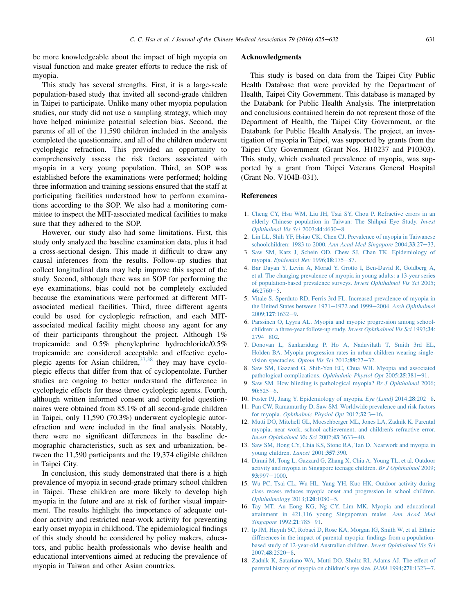<span id="page-6-0"></span>be more knowledgeable about the impact of high myopia on visual function and make greater efforts to reduce the risk of myopia.

This study has several strengths. First, it is a large-scale population-based study that invited all second-grade children in Taipei to participate. Unlike many other myopia population studies, our study did not use a sampling strategy, which may have helped minimize potential selection bias. Second, the parents of all of the 11,590 children included in the analysis completed the questionnaire, and all of the children underwent cycloplegic refraction. This provided an opportunity to comprehensively assess the risk factors associated with myopia in a very young population. Third, an SOP was established before the examinations were performed; holding three information and training sessions ensured that the staff at participating facilities understood how to perform examinations according to the SOP. We also had a monitoring committee to inspect the MIT-associated medical facilities to make sure that they adhered to the SOP.

However, our study also had some limitations. First, this study only analyzed the baseline examination data, plus it had a cross-sectional design. This made it difficult to draw any causal inferences from the results. Follow-up studies that collect longitudinal data may help improve this aspect of the study. Second, although there was an SOP for performing the eye examinations, bias could not be completely excluded because the examinations were performed at different MITassociated medical facilities. Third, three different agents could be used for cycloplegic refraction, and each MITassociated medical facility might choose any agent for any of their participants throughout the project. Although 1% tropicamide and 0.5% phenylephrine hydrochloride/0.5% tropicamide are considered acceptable and effective cycloplegic agents for Asian children,  $37,38$  they may have cycloplegic effects that differ from that of cyclopentolate. Further studies are ongoing to better understand the difference in cycloplegic effects for these three cycloplegic agents. Fourth, although written informed consent and completed questionnaires were obtained from 85.1% of all second-grade children in Taipei, only 11,590 (70.3%) underwent cycloplegic autorefraction and were included in the final analysis. Notably, there were no significant differences in the baseline demographic characteristics, such as sex and urbanization, between the 11,590 participants and the 19,374 eligible children in Taipei City.

In conclusion, this study demonstrated that there is a high prevalence of myopia in second-grade primary school children in Taipei. These children are more likely to develop high myopia in the future and are at risk of further visual impairment. The results highlight the importance of adequate outdoor activity and restricted near-work activity for preventing early onset myopia in childhood. The epidemiological findings of this study should be considered by policy makers, educators, and public health professionals who devise health and educational interventions aimed at reducing the prevalence of myopia in Taiwan and other Asian countries.

#### Acknowledgments

This study is based on data from the Taipei City Public Health Database that were provided by the Department of Health, Taipei City Government. This database is managed by the Databank for Public Health Analysis. The interpretation and conclusions contained herein do not represent those of the Department of Health, the Taipei City Government, or the Databank for Public Health Analysis. The project, an investigation of myopia in Taipei, was supported by grants from the Taipei City Government (Grant Nos. H10237 and P10303). This study, which evaluated prevalence of myopia, was supported by a grant from Taipei Veterans General Hospital (Grant No. V104B-031).

#### References

- 1. [Cheng CY, Hsu WM, Liu JH, Tsai SY, Chou P. Refractive errors in an](http://refhub.elsevier.com/S1726-4901(16)30078-8/sref1) [elderly Chinese population in Taiwan: The Shihpai Eye Study.](http://refhub.elsevier.com/S1726-4901(16)30078-8/sref1) Invest [Ophthalmol Vis Sci](http://refhub.elsevier.com/S1726-4901(16)30078-8/sref1) 2003;44:4630-[8.](http://refhub.elsevier.com/S1726-4901(16)30078-8/sref1)
- 2. [Lin LL, Shih YF, Hsiao CK, Chen CJ. Prevalence of myopia in Taiwanese](http://refhub.elsevier.com/S1726-4901(16)30078-8/sref2) [schoolchildren: 1983 to 2000.](http://refhub.elsevier.com/S1726-4901(16)30078-8/sref2) Ann Acad Med Singapore 2004;33:27-[33.](http://refhub.elsevier.com/S1726-4901(16)30078-8/sref2)
- 3. [Saw SM, Katz J, Schein OD, Chew SJ, Chan TK. Epidemiology of](http://refhub.elsevier.com/S1726-4901(16)30078-8/sref3) myopia. [Epidemiol Rev](http://refhub.elsevier.com/S1726-4901(16)30078-8/sref3) 1996; $18:175-87$  $18:175-87$ .
- 4. [Bar Dayan Y, Levin A, Morad Y, Grotto I, Ben-David R, Goldberg A,](http://refhub.elsevier.com/S1726-4901(16)30078-8/sref4) [et al. The changing prevalence of myopia in young adults: a 13-year series](http://refhub.elsevier.com/S1726-4901(16)30078-8/sref4) [of population-based prevalence surveys.](http://refhub.elsevier.com/S1726-4901(16)30078-8/sref4) Invest Ophthalmol Vis Sci 2005;  $46:2760 - 5$  $46:2760 - 5$  $46:2760 - 5$  $46:2760 - 5$ .
- 5. [Vitale S, Sperduto RD, Ferris 3rd FL. Increased prevalence of myopia in](http://refhub.elsevier.com/S1726-4901(16)30078-8/sref5) [the United States between 1971](http://refhub.elsevier.com/S1726-4901(16)30078-8/sref5)-[1972 and 1999](http://refhub.elsevier.com/S1726-4901(16)30078-8/sref5)-2004. [Arch Ophthalmol](http://refhub.elsevier.com/S1726-4901(16)30078-8/sref5)  $2009:127:1632-9.$  $2009:127:1632-9.$
- 6. [Parssinen O, Lyyra AL. Myopia and myopic progression among school](http://refhub.elsevier.com/S1726-4901(16)30078-8/sref6)[children: a three-year follow-up study.](http://refhub.elsevier.com/S1726-4901(16)30078-8/sref6) *Invest Ophthalmol Vis Sci* 1993;34:  $2794 - 802.$  $2794 - 802.$  $2794 - 802.$  $2794 - 802.$
- 7. [Donovan L, Sankaridurg P, Ho A, Naduvilath T, Smith 3rd EL,](http://refhub.elsevier.com/S1726-4901(16)30078-8/sref7) [Holden BA. Myopia progression rates in urban children wearing single](http://refhub.elsevier.com/S1726-4901(16)30078-8/sref7)[vision spectacles.](http://refhub.elsevier.com/S1726-4901(16)30078-8/sref7) Optom Vis Sci  $2012;89:27-32$ .
- 8. [Saw SM, Gazzard G, Shih-Yen EC, Chua WH. Myopia and associated](http://refhub.elsevier.com/S1726-4901(16)30078-8/sref8) [pathological complications.](http://refhub.elsevier.com/S1726-4901(16)30078-8/sref8) Ophthalmic Physiol Opt 2005;25:381-[91.](http://refhub.elsevier.com/S1726-4901(16)30078-8/sref8)
- 9. [Saw SM. How blinding is pathological myopia?](http://refhub.elsevier.com/S1726-4901(16)30078-8/sref9) Br J Ophthalmol 2006;  $90.525 - 6$  $90.525 - 6$
- 10. [Foster PJ, Jiang Y. Epidemiology of myopia.](http://refhub.elsevier.com/S1726-4901(16)30078-8/sref10) Eye (Lond)  $2014;28:202-8$ .
- 11. [Pan CW, Ramamurthy D, Saw SM. Worldwide prevalence and risk factors](http://refhub.elsevier.com/S1726-4901(16)30078-8/sref11) for myopia. [Ophthalmic Physiol Opt](http://refhub.elsevier.com/S1726-4901(16)30078-8/sref11) 2012;32:3-[16.](http://refhub.elsevier.com/S1726-4901(16)30078-8/sref11)
- 12. [Mutti DO, Mitchell GL, Moeschberger ML, Jones LA, Zadnik K. Parental](http://refhub.elsevier.com/S1726-4901(16)30078-8/sref12) [myopia, near work, school achievement, and children](http://refhub.elsevier.com/S1726-4901(16)30078-8/sref12)'s refractive error.  $Invest$  Ophthalmol Vis Sci 2002;43:3633-[40](http://refhub.elsevier.com/S1726-4901(16)30078-8/sref12).
- 13. [Saw SM, Hong CY, Chia KS, Stone RA, Tan D. Nearwork and myopia in](http://refhub.elsevier.com/S1726-4901(16)30078-8/sref13) [young children.](http://refhub.elsevier.com/S1726-4901(16)30078-8/sref13) Lancet 2001;357:390.
- 14. [Dirani M, Tong L, Gazzard G, Zhang X, Chia A, Young TL, et al. Outdoor](http://refhub.elsevier.com/S1726-4901(16)30078-8/sref14) [activity and myopia in Singapore teenage children.](http://refhub.elsevier.com/S1726-4901(16)30078-8/sref14) Br J Ophthalmol 2009;  $93:997-1000.$  $93:997-1000.$  $93:997-1000.$  $93:997-1000.$  $93:997-1000.$
- 15. [Wu PC, Tsai CL, Wu HL, Yang YH, Kuo HK. Outdoor activity during](http://refhub.elsevier.com/S1726-4901(16)30078-8/sref15) [class recess reduces myopia onset and progression in school children.](http://refhub.elsevier.com/S1726-4901(16)30078-8/sref15) [Ophthalmology](http://refhub.elsevier.com/S1726-4901(16)30078-8/sref15) 2013;120:1080-[5.](http://refhub.elsevier.com/S1726-4901(16)30078-8/sref15)
- 16. [Tay MT, Au Eong KG, Ng CY, Lim MK. Myopia and educational](http://refhub.elsevier.com/S1726-4901(16)30078-8/sref16) [attainment in 421,116 young Singaporean males.](http://refhub.elsevier.com/S1726-4901(16)30078-8/sref16) Ann Acad Med [Singapore](http://refhub.elsevier.com/S1726-4901(16)30078-8/sref16) 1992;21:785-[91.](http://refhub.elsevier.com/S1726-4901(16)30078-8/sref16)
- 17. [Ip JM, Huynh SC, Robaei D, Rose KA, Morgan IG, Smith W, et al. Ethnic](http://refhub.elsevier.com/S1726-4901(16)30078-8/sref17) [differences in the impact of parental myopia: findings from a population](http://refhub.elsevier.com/S1726-4901(16)30078-8/sref17)[based study of 12-year-old Australian children.](http://refhub.elsevier.com/S1726-4901(16)30078-8/sref17) Invest Ophthalmol Vis Sci  $2007;48:2520-8.$  $2007;48:2520-8.$  $2007;48:2520-8.$
- 18. [Zadnik K, Satariano WA, Mutti DO, Sholtz RI, Adams AJ. The effect of](http://refhub.elsevier.com/S1726-4901(16)30078-8/sref18) [parental history of myopia on children](http://refhub.elsevier.com/S1726-4901(16)30078-8/sref18)'s eye size. JAMA 1994;271:1323-[7.](http://refhub.elsevier.com/S1726-4901(16)30078-8/sref18)